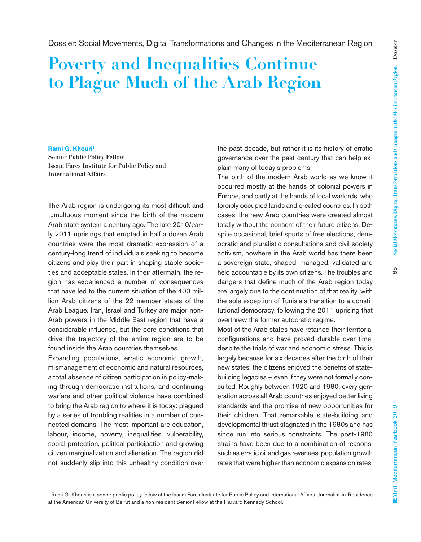55

# **Poverty and Inequalities Continue to Plague Much of the Arab Region**

#### **Rami G. Khouri**<sup>1</sup>

**Senior Public Policy Fellow Issam Fares Institute for Public Policy and International Affairs**

The Arab region is undergoing its most difficult and tumultuous moment since the birth of the modern Arab state system a century ago. The late 2010/early 2011 uprisings that erupted in half a dozen Arab countries were the most dramatic expression of a century-long trend of individuals seeking to become citizens and play their part in shaping stable societies and acceptable states. In their aftermath, the region has experienced a number of consequences that have led to the current situation of the 400 million Arab citizens of the 22 member states of the Arab League. Iran, Israel and Turkey are major non-Arab powers in the Middle East region that have a considerable influence, but the core conditions that drive the trajectory of the entire region are to be found inside the Arab countries themselves.

Expanding populations, erratic economic growth, mismanagement of economic and natural resources, a total absence of citizen participation in policy-making through democratic institutions, and continuing warfare and other political violence have combined to bring the Arab region to where it is today: plagued by a series of troubling realities in a number of connected domains. The most important are education, labour, income, poverty, inequalities, vulnerability, social protection, political participation and growing citizen marginalization and alienation. The region did not suddenly slip into this unhealthy condition over the past decade, but rather it is its history of erratic governance over the past century that can help explain many of today's problems.

The birth of the modern Arab world as we know it occurred mostly at the hands of colonial powers in Europe, and partly at the hands of local warlords, who forcibly occupied lands and created countries. In both cases, the new Arab countries were created almost totally without the consent of their future citizens. Despite occasional, brief spurts of free elections, democratic and pluralistic consultations and civil society activism, nowhere in the Arab world has there been a sovereign state, shaped, managed, validated and held accountable by its own citizens. The troubles and dangers that define much of the Arab region today are largely due to the continuation of that reality, with the sole exception of Tunisia's transition to a constitutional democracy, following the 2011 uprising that overthrew the former autocratic regime.

Most of the Arab states have retained their territorial configurations and have proved durable over time, despite the trials of war and economic stress. This is largely because for six decades after the birth of their new states, the citizens enjoyed the benefits of statebuilding legacies – even if they were not formally consulted. Roughly between 1920 and 1980, every generation across all Arab countries enjoyed better living standards and the promise of new opportunities for their children. That remarkable state-building and developmental thrust stagnated in the 1980s and has since run into serious constraints. The post-1980 strains have been due to a combination of reasons, such as erratic oil and gas revenues, population growth rates that were higher than economic expansion rates,

**IEMed.** Mediterranean Yearbook **2019** 85 **EMed. Mediterranean Yearbook 2019** 

1 Rami G. Khouri is a senior public policy fellow at the Issam Fares Institute for Public Policy and International Affairs, Journalist-in-Residence at the American University of Beirut and a non-resident Senior Fellow at the Harvard Kennedy School.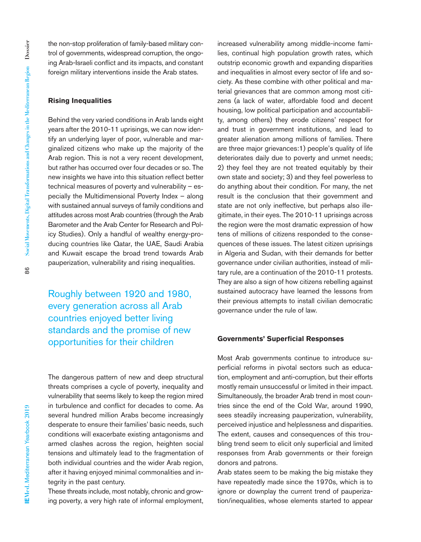the non-stop proliferation of family-based military control of governments, widespread corruption, the ongoing Arab-Israeli conflict and its impacts, and constant foreign military interventions inside the Arab states.

## **Rising Inequalities**

Behind the very varied conditions in Arab lands eight years after the 2010-11 uprisings, we can now identify an underlying layer of poor, vulnerable and marginalized citizens who make up the majority of the Arab region. This is not a very recent development, but rather has occurred over four decades or so. The new insights we have into this situation reflect better technical measures of poverty and vulnerability – especially the Multidimensional Poverty Index – along with sustained annual surveys of family conditions and attitudes across most Arab countries (through the Arab Barometer and the Arab Center for Research and Policy Studies). Only a handful of wealthy energy-producing countries like Qatar, the UAE, Saudi Arabia and Kuwait escape the broad trend towards Arab pauperization, vulnerability and rising inequalities.

Roughly between 1920 and 1980, every generation across all Arab countries enjoyed better living standards and the promise of new opportunities for their children

The dangerous pattern of new and deep structural threats comprises a cycle of poverty, inequality and vulnerability that seems likely to keep the region mired in turbulence and conflict for decades to come. As several hundred million Arabs become increasingly desperate to ensure their families' basic needs, such conditions will exacerbate existing antagonisms and armed clashes across the region, heighten social tensions and ultimately lead to the fragmentation of both individual countries and the wider Arab region, after it having enjoyed minimal commonalities and integrity in the past century.

These threats include, most notably, chronic and growing poverty, a very high rate of informal employment, increased vulnerability among middle-income families, continual high population growth rates, which outstrip economic growth and expanding disparities and inequalities in almost every sector of life and society. As these combine with other political and material grievances that are common among most citizens (a lack of water, affordable food and decent housing, low political participation and accountability, among others) they erode citizens' respect for and trust in government institutions, and lead to greater alienation among millions of families. There are three major grievances:1) people's quality of life deteriorates daily due to poverty and unmet needs; 2) they feel they are not treated equitably by their own state and society; 3) and they feel powerless to do anything about their condition. For many, the net result is the conclusion that their government and state are not only ineffective, but perhaps also illegitimate, in their eyes. The 2010-11 uprisings across the region were the most dramatic expression of how tens of millions of citizens responded to the consequences of these issues. The latest citizen uprisings in Algeria and Sudan, with their demands for better governance under civilian authorities, instead of military rule, are a continuation of the 2010-11 protests. They are also a sign of how citizens rebelling against sustained autocracy have learned the lessons from their previous attempts to install civilian democratic governance under the rule of law.

#### **Governments' Superficial Responses**

Most Arab governments continue to introduce superficial reforms in pivotal sectors such as education, employment and anti-corruption, but their efforts mostly remain unsuccessful or limited in their impact. Simultaneously, the broader Arab trend in most countries since the end of the Cold War, around 1990, sees steadily increasing pauperization, vulnerability, perceived injustice and helplessness and disparities. The extent, causes and consequences of this troubling trend seem to elicit only superficial and limited responses from Arab governments or their foreign donors and patrons.

Arab states seem to be making the big mistake they have repeatedly made since the 1970s, which is to ignore or downplay the current trend of pauperization/inequalities, whose elements started to appear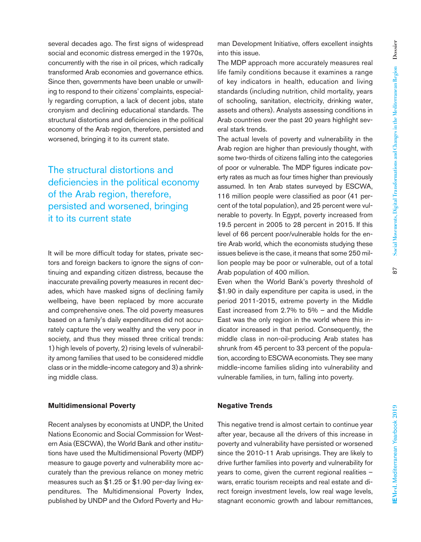several decades ago. The first signs of widespread social and economic distress emerged in the 1970s, concurrently with the rise in oil prices, which radically transformed Arab economies and governance ethics. Since then, governments have been unable or unwilling to respond to their citizens' complaints, especially regarding corruption, a lack of decent jobs, state cronyism and declining educational standards. The structural distortions and deficiencies in the political economy of the Arab region, therefore, persisted and worsened, bringing it to its current state.

The structural distortions and deficiencies in the political economy of the Arab region, therefore, persisted and worsened, bringing it to its current state

It will be more difficult today for states, private sectors and foreign backers to ignore the signs of continuing and expanding citizen distress, because the inaccurate prevailing poverty measures in recent decades, which have masked signs of declining family wellbeing, have been replaced by more accurate and comprehensive ones. The old poverty measures based on a family's daily expenditures did not accurately capture the very wealthy and the very poor in society, and thus they missed three critical trends: 1) high levels of poverty, 2) rising levels of vulnerability among families that used to be considered middle class or in the middle-income category and 3) a shrinking middle class.

### **Multidimensional Poverty**

Recent analyses by economists at UNDP, the United Nations Economic and Social Commission for Western Asia (ESCWA), the World Bank and other institutions have used the Multidimensional Poverty (MDP) measure to gauge poverty and vulnerability more accurately than the previous reliance on money metric measures such as \$1.25 or \$1.90 per-day living expenditures. The Multidimensional Poverty Index, published by UNDP and the Oxford Poverty and Human Development Initiative, offers excellent insights into this issue.

The MDP approach more accurately measures real life family conditions because it examines a range of key indicators in health, education and living standards (including nutrition, child mortality, years of schooling, sanitation, electricity, drinking water, assets and others). Analysts assessing conditions in Arab countries over the past 20 years highlight several stark trends.

The actual levels of poverty and vulnerability in the Arab region are higher than previously thought, with some two-thirds of citizens falling into the categories of poor or vulnerable. The MDP figures indicate poverty rates as much as four times higher than previously assumed. In ten Arab states surveyed by ESCWA, 116 million people were classified as poor (41 percent of the total population), and 25 percent were vulnerable to poverty. In Egypt, poverty increased from 19.5 percent in 2005 to 28 percent in 2015. If this level of 66 percent poor/vulnerable holds for the entire Arab world, which the economists studying these issues believe is the case, it means that some 250 million people may be poor or vulnerable, out of a total Arab population of 400 million.

Even when the World Bank's poverty threshold of \$1.90 in daily expenditure per capita is used, in the period 2011-2015, extreme poverty in the Middle East increased from 2.7% to 5% – and the Middle East was the only region in the world where this indicator increased in that period. Consequently, the middle class in non-oil-producing Arab states has shrunk from 45 percent to 33 percent of the population, according to ESCWA economists. They see many middle-income families sliding into vulnerability and vulnerable families, in turn, falling into poverty.

# **Negative Trends**

This negative trend is almost certain to continue year after year, because all the drivers of this increase in poverty and vulnerability have persisted or worsened since the 2010-11 Arab uprisings. They are likely to drive further families into poverty and vulnerability for years to come, given the current regional realities – wars, erratic tourism receipts and real estate and direct foreign investment levels, low real wage levels, stagnant economic growth and labour remittances,

 $\overline{5}$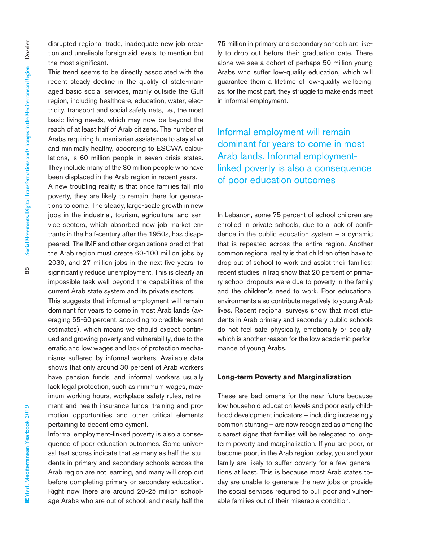disrupted regional trade, inadequate new job creation and unreliable foreign aid levels, to mention but the most significant.

This trend seems to be directly associated with the recent steady decline in the quality of state-managed basic social services, mainly outside the Gulf region, including healthcare, education, water, electricity, transport and social safety nets, i.e., the most basic living needs, which may now be beyond the reach of at least half of Arab citizens. The number of Arabs requiring humanitarian assistance to stay alive and minimally healthy, according to ESCWA calculations, is 60 million people in seven crisis states. They include many of the 30 million people who have been displaced in the Arab region in recent years.

A new troubling reality is that once families fall into poverty, they are likely to remain there for generations to come. The steady, large-scale growth in new jobs in the industrial, tourism, agricultural and service sectors, which absorbed new job market entrants in the half-century after the 1950s, has disappeared. The IMF and other organizations predict that the Arab region must create 60-100 million jobs by 2030, and 27 million jobs in the next five years, to significantly reduce unemployment. This is clearly an impossible task well beyond the capabilities of the current Arab state system and its private sectors.

This suggests that informal employment will remain dominant for years to come in most Arab lands (averaging 55-60 percent, according to credible recent estimates), which means we should expect continued and growing poverty and vulnerability, due to the erratic and low wages and lack of protection mechanisms suffered by informal workers. Available data shows that only around 30 percent of Arab workers have pension funds, and informal workers usually lack legal protection, such as minimum wages, maximum working hours, workplace safety rules, retirement and health insurance funds, training and promotion opportunities and other critical elements pertaining to decent employment.

Informal employment-linked poverty is also a consequence of poor education outcomes. Some universal test scores indicate that as many as half the students in primary and secondary schools across the Arab region are not learning, and many will drop out before completing primary or secondary education. Right now there are around 20-25 million schoolage Arabs who are out of school, and nearly half the 75 million in primary and secondary schools are likely to drop out before their graduation date. There alone we see a cohort of perhaps 50 million young Arabs who suffer low-quality education, which will guarantee them a lifetime of low-quality wellbeing, as, for the most part, they struggle to make ends meet in informal employment.

Informal employment will remain dominant for years to come in most Arab lands. Informal employmentlinked poverty is also a consequence of poor education outcomes

In Lebanon, some 75 percent of school children are enrolled in private schools, due to a lack of confidence in the public education system  $-$  a dynamic that is repeated across the entire region. Another common regional reality is that children often have to drop out of school to work and assist their families; recent studies in Iraq show that 20 percent of primary school dropouts were due to poverty in the family and the children's need to work. Poor educational environments also contribute negatively to young Arab lives. Recent regional surveys show that most students in Arab primary and secondary public schools do not feel safe physically, emotionally or socially, which is another reason for the low academic performance of young Arabs.

## **Long-term Poverty and Marginalization**

These are bad omens for the near future because low household education levels and poor early childhood development indicators – including increasingly common stunting – are now recognized as among the clearest signs that families will be relegated to longterm poverty and marginalization. If you are poor, or become poor, in the Arab region today, you and your family are likely to suffer poverty for a few generations at least. This is because most Arab states today are unable to generate the new jobs or provide the social services required to pull poor and vulnerable families out of their miserable condition.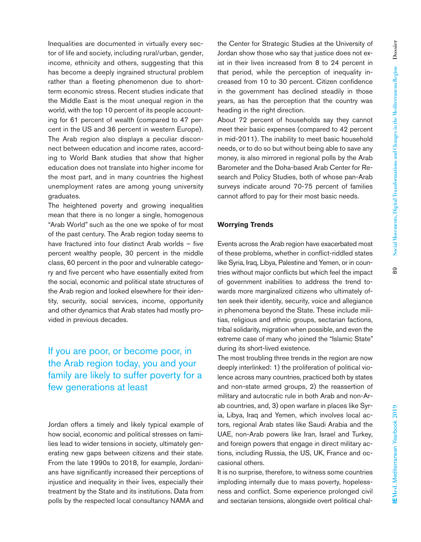8

Inequalities are documented in virtually every sector of life and society, including rural/urban, gender, income, ethnicity and others, suggesting that this has become a deeply ingrained structural problem rather than a fleeting phenomenon due to shortterm economic stress. Recent studies indicate that the Middle East is the most unequal region in the world, with the top 10 percent of its people accounting for 61 percent of wealth (compared to 47 percent in the US and 36 percent in western Europe). The Arab region also displays a peculiar disconnect between education and income rates, according to World Bank studies that show that higher education does not translate into higher income for the most part, and in many countries the highest unemployment rates are among young university graduates.

The heightened poverty and growing inequalities mean that there is no longer a single, homogenous "Arab World" such as the one we spoke of for most of the past century. The Arab region today seems to have fractured into four distinct Arab worlds – five percent wealthy people, 30 percent in the middle class, 60 percent in the poor and vulnerable category and five percent who have essentially exited from the social, economic and political state structures of the Arab region and looked elsewhere for their identity, security, social services, income, opportunity and other dynamics that Arab states had mostly provided in previous decades.

# If you are poor, or become poor, in the Arab region today, you and your family are likely to suffer poverty for a few generations at least

Jordan offers a timely and likely typical example of how social, economic and political stresses on families lead to wider tensions in society, ultimately generating new gaps between citizens and their state. From the late 1990s to 2018, for example, Jordanians have significantly increased their perceptions of injustice and inequality in their lives, especially their treatment by the State and its institutions. Data from polls by the respected local consultancy NAMA and

the Center for Strategic Studies at the University of Jordan show those who say that justice does not exist in their lives increased from 8 to 24 percent in that period, while the perception of inequality increased from 10 to 30 percent. Citizen confidence in the government has declined steadily in those years, as has the perception that the country was heading in the right direction.

About 72 percent of households say they cannot meet their basic expenses (compared to 42 percent in mid-2011). The inability to meet basic household needs, or to do so but without being able to save any money, is also mirrored in regional polls by the Arab Barometer and the Doha-based Arab Center for Research and Policy Studies, both of whose pan-Arab surveys indicate around 70-75 percent of families cannot afford to pay for their most basic needs.

# **Worrying Trends**

Events across the Arab region have exacerbated most of these problems, whether in conflict-riddled states like Syria, Iraq, Libya, Palestine and Yemen, or in countries without major conflicts but which feel the impact of government inabilities to address the trend towards more marginalized citizens who ultimately often seek their identity, security, voice and allegiance in phenomena beyond the State. These include militias, religious and ethnic groups, sectarian factions, tribal solidarity, migration when possible, and even the extreme case of many who joined the "Islamic State" during its short-lived existence.

The most troubling three trends in the region are now deeply interlinked: 1) the proliferation of political violence across many countries, practiced both by states and non-state armed groups, 2) the reassertion of military and autocratic rule in both Arab and non-Arab countries, and, 3) open warfare in places like Syria, Libya, Iraq and Yemen, which involves local actors, regional Arab states like Saudi Arabia and the UAE, non-Arab powers like Iran, Israel and Turkey, and foreign powers that engage in direct military actions, including Russia, the US, UK, France and occasional others.

It is no surprise, therefore, to witness some countries imploding internally due to mass poverty, hopelessness and conflict. Some experience prolonged civil and sectarian tensions, alongside overt political chal